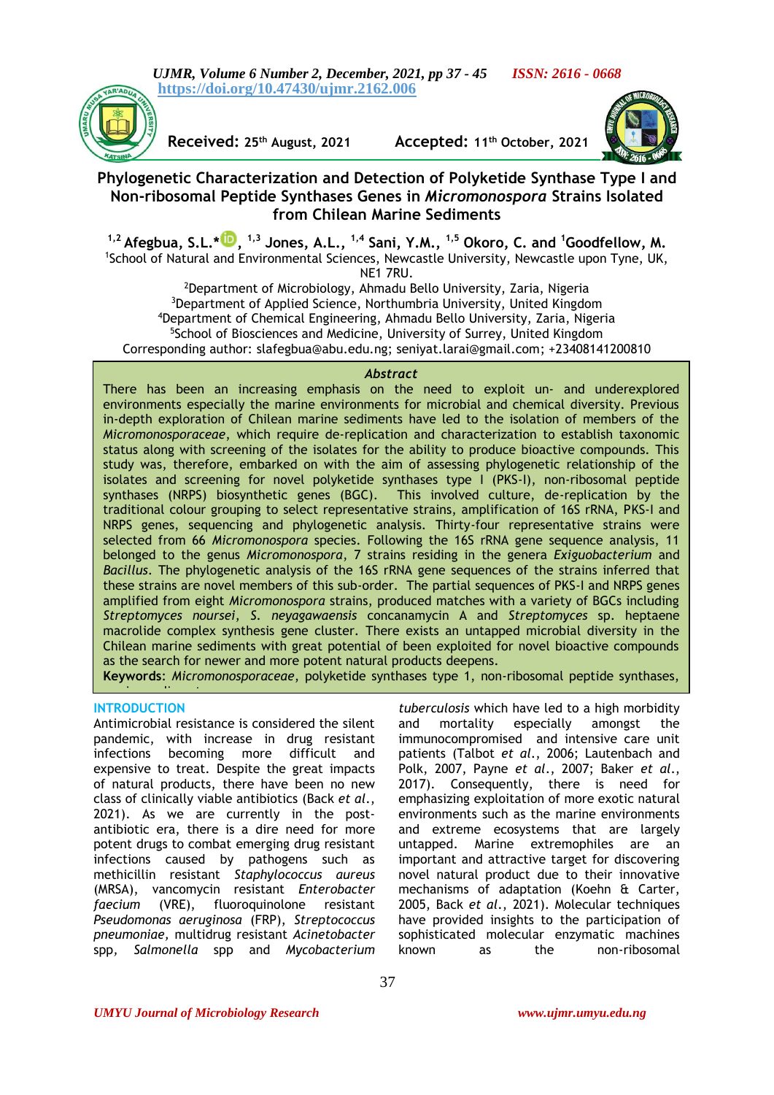*UJMR, Volume 6 Number 2, December, 2021, pp 37 - 45 ISSN: 2616 - 0668* **<https://doi.org/10.47430/ujmr.2162.006>**



**Received: 25th August, 2021 Accepted: 11th October, 2021**



# **Phylogenetic Characterization and Detection of Polyketide Synthase Type I and Non-ribosomal Peptide Synthases Genes in** *Micromonospora* **Strains Isolated from Chilean Marine Sediments**

**1,2 Afegbua, S.L.\* [,](https://orcid.org/0000-0002-4223-7554) 1,3 Jones, A.L., 1,4 Sani, Y.M., 1,5 Okoro, C. and <sup>1</sup>Goodfellow, M.** <sup>1</sup>School of Natural and Environmental Sciences, Newcastle University, Newcastle upon Tyne, UK, NE1 7RU.

<sup>2</sup>Department of Microbiology, Ahmadu Bello University, Zaria, Nigeria <sup>3</sup>Department of Applied Science, Northumbria University, United Kingdom <sup>4</sup>Department of Chemical Engineering, Ahmadu Bello University, Zaria, Nigeria <sup>5</sup>School of Biosciences and Medicine, University of Surrey, United Kingdom Corresponding author: [slafegbua@abu.edu.ng; seniyat.larai@gmail.com;](mailto:slafegbua@abu.edu.ng;%20seniyat.larai@gmail.com) +23408141200810

### *Abstract*

There has been an increasing emphasis on the need to exploit un- and underexplored environments especially the marine environments for microbial and chemical diversity. Previous in-depth exploration of Chilean marine sediments have led to the isolation of members of the *Micromonosporaceae*, which require de-replication and characterization to establish taxonomic status along with screening of the isolates for the ability to produce bioactive compounds. This study was, therefore, embarked on with the aim of assessing phylogenetic relationship of the isolates and screening for novel polyketide synthases type I (PKS-I), non-ribosomal peptide synthases (NRPS) biosynthetic genes (BGC). This involved culture, de-replication by the traditional colour grouping to select representative strains, amplification of 16S rRNA, PKS-I and NRPS genes, sequencing and phylogenetic analysis. Thirty-four representative strains were selected from 66 *Micromonospora* species. Following the 16S rRNA gene sequence analysis, 11 belonged to the genus *Micromonospora*, 7 strains residing in the genera *Exiguobacterium* and *Bacillus*. The phylogenetic analysis of the 16S rRNA gene sequences of the strains inferred that these strains are novel members of this sub-order. The partial sequences of PKS-I and NRPS genes amplified from eight *Micromonospora* strains, produced matches with a variety of BGCs including *Streptomyces noursei*, *S. neyagawaensis* concanamycin A and *Streptomyces* sp. heptaene macrolide complex synthesis gene cluster. There exists an untapped microbial diversity in the Chilean marine sediments with great potential of been exploited for novel bioactive compounds as the search for newer and more potent natural products deepens.

**Keywords**: *Micromonosporaceae*, polyketide synthases type 1, non-ribosomal peptide synthases,

# **INTRODUCTION**

marine sediments.

Antimicrobial resistance is considered the silent pandemic, with increase in drug resistant infections becoming more difficult and expensive to treat. Despite the great impacts of natural products, there have been no new class of clinically viable antibiotics (Back *et al*., 2021). As we are currently in the postantibiotic era, there is a dire need for more potent drugs to combat emerging drug resistant infections caused by pathogens such as methicillin resistant *Staphylococcus aureus*  (MRSA), vancomycin resistant *Enterobacter faecium* (VRE), fluoroquinolone resistant *Pseudomonas aeruginosa* (FRP), *Streptococcus pneumoniae,* multidrug resistant *Acinetobacter*  spp*, Salmonella* spp and *Mycobacterium* 

*tuberculosis* which have led to a high morbidity and mortality especially amongst the immunocompromised and intensive care unit patients (Talbot *et al*., 2006; Lautenbach and Polk, 2007, Payne *et al*., 2007; Baker *et al*., 2017). Consequently, there is need for emphasizing exploitation of more exotic natural environments such as the marine environments and extreme ecosystems that are largely untapped. Marine extremophiles are an important and attractive target for discovering novel natural product due to their innovative mechanisms of adaptation (Koehn & Carter, 2005, Back *et al*., 2021). Molecular techniques have provided insights to the participation of sophisticated molecular enzymatic machines known as the non-ribosomal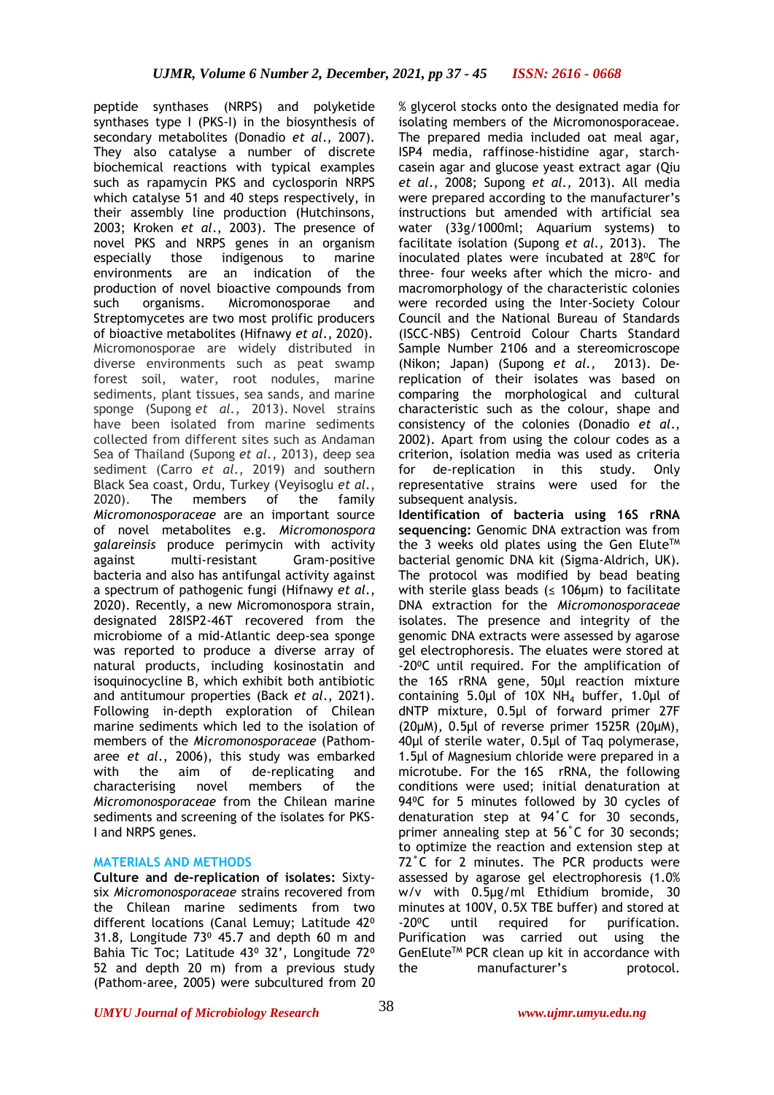peptide synthases (NRPS) and polyketide synthases type I (PKS-I) in the biosynthesis of secondary metabolites (Donadio *et al*., 2007). They also catalyse a number of discrete biochemical reactions with typical examples such as rapamycin PKS and cyclosporin NRPS which catalyse 51 and 40 steps respectively, in their assembly line production (Hutchinsons, 2003; Kroken *et al*., 2003). The presence of novel PKS and NRPS genes in an organism especially those indigenous to marine environments are an indication of the production of novel bioactive compounds from such organisms. Micromonosporae and Streptomycetes are two most prolific producers of bioactive metabolites (Hifnawy *et al*., 2020). Micromonosporae are widely distributed in diverse environments such as peat swamp forest soil, water, root nodules, marine sediments, plant tissues, sea sands, and marine sponge (Supong *et al.*[, 2013\).](https://www.microbiologyresearch.org/content/journal/ijsem/10.1099/ijs.0.041103-0#r19) Novel strains have been isolated from marine sediments collected from different sites such as Andaman Sea of Thailand [\(Supong](https://www.microbiologyresearch.org/content/journal/ijsem/10.1099/ijs.0.041103-0#r19) *et al.*, 2013), deep sea sediment (Carro *et al*., 2019) and southern Black Sea coast, Ordu, Turkey (Veyisoglu *et al*., 2020). The members of the family *Micromonosporaceae* are an important source of novel metabolites e.g. *Micromonospora galareinsis* produce perimycin with activity against multi-resistant Gram-positive bacteria and also has antifungal activity against a spectrum of pathogenic fungi (Hifnawy *et al*., 2020). Recently, a new Micromonospora strain, designated 28ISP2-46T recovered from the microbiome of a mid-Atlantic deep-sea sponge was reported to produce a diverse array of natural products, including kosinostatin and isoquinocycline B, which exhibit both antibiotic and antitumour properties (Back *et al*., 2021). Following in-depth exploration of Chilean marine sediments which led to the isolation of members of the *Micromonosporaceae* (Pathomaree *et al*., 2006), this study was embarked with the aim of de-replicating and characterising novel members of the *Micromonosporaceae* from the Chilean marine sediments and screening of the isolates for PKS-I and NRPS genes.

### **MATERIALS AND METHODS**

**Culture and de-replication of isolates:** Sixtysix *Micromonosporaceae* strains recovered from the Chilean marine sediments from two different locations (Canal Lemuy; Latitude 42<sup>o</sup> 31.8, Longitude  $73^{\circ}$  45.7 and depth 60 m and Bahia Tic Toc; Latitude 43º 32', Longitude 72º 52 and depth 20 m) from a previous study (Pathom-aree, 2005) were subcultured from 20

% glycerol stocks onto the designated media for isolating members of the Micromonosporaceae. The prepared media included oat meal agar, ISP4 media, raffinose-histidine agar, starchcasein agar and glucose yeast extract agar (Qiu *et al*., 2008; Supong *et al.,* 2013). All media were prepared according to the manufacturer's instructions but amended with artificial sea water (33g/1000ml; Aquarium systems) to facilitate isolation (Supong *et al.,* 2013). The inoculated plates were incubated at 28°C for three- four weeks after which the micro- and macromorphology of the characteristic colonies were recorded using the Inter-Society Colour Council and the National Bureau of Standards (ISCC-NBS) Centroid Colour Charts Standard Sample Number 2106 and a stereomicroscope (Nikon; Japan) (Supong *et al.,* 2013). Dereplication of their isolates was based on comparing the morphological and cultural characteristic such as the colour, shape and consistency of the colonies (Donadio *et al*., 2002). Apart from using the colour codes as a criterion, isolation media was used as criteria for de-replication in this study. Only representative strains were used for the subsequent analysis.

**Identification of bacteria using 16S rRNA sequencing:** Genomic DNA extraction was from the 3 weeks old plates using the Gen Elute<sup>TM</sup> bacterial genomic DNA kit (Sigma-Aldrich, UK). The protocol was modified by bead beating with sterile glass beads ( $\leq$  106µm) to facilitate DNA extraction for the *Micromonosporaceae*  isolates. The presence and integrity of the genomic DNA extracts were assessed by agarose gel electrophoresis. The eluates were stored at -20⁰C until required. For the amplification of the 16S rRNA gene, 50µl reaction mixture containing 5.0µl of 10X NH<sup>4</sup> buffer, 1.0µl of dNTP mixture, 0.5µl of forward primer 27F (20µM), 0.5µl of reverse primer 1525R (20µM), 40µl of sterile water, 0.5µl of Taq polymerase, 1.5µl of Magnesium chloride were prepared in a microtube. For the 16S rRNA, the following conditions were used; initial denaturation at 94°C for 5 minutes followed by 30 cycles of denaturation step at 94˚C for 30 seconds, primer annealing step at 56˚C for 30 seconds; to optimize the reaction and extension step at 72˚C for 2 minutes. The PCR products were assessed by agarose gel electrophoresis (1.0% w/v with 0.5μg/ml Ethidium bromide, 30 minutes at 100V, 0.5X TBE buffer) and stored at -20⁰C until required for purification. Purification was carried out using the GenEluteTM PCR clean up kit in accordance with the manufacturer's protocol.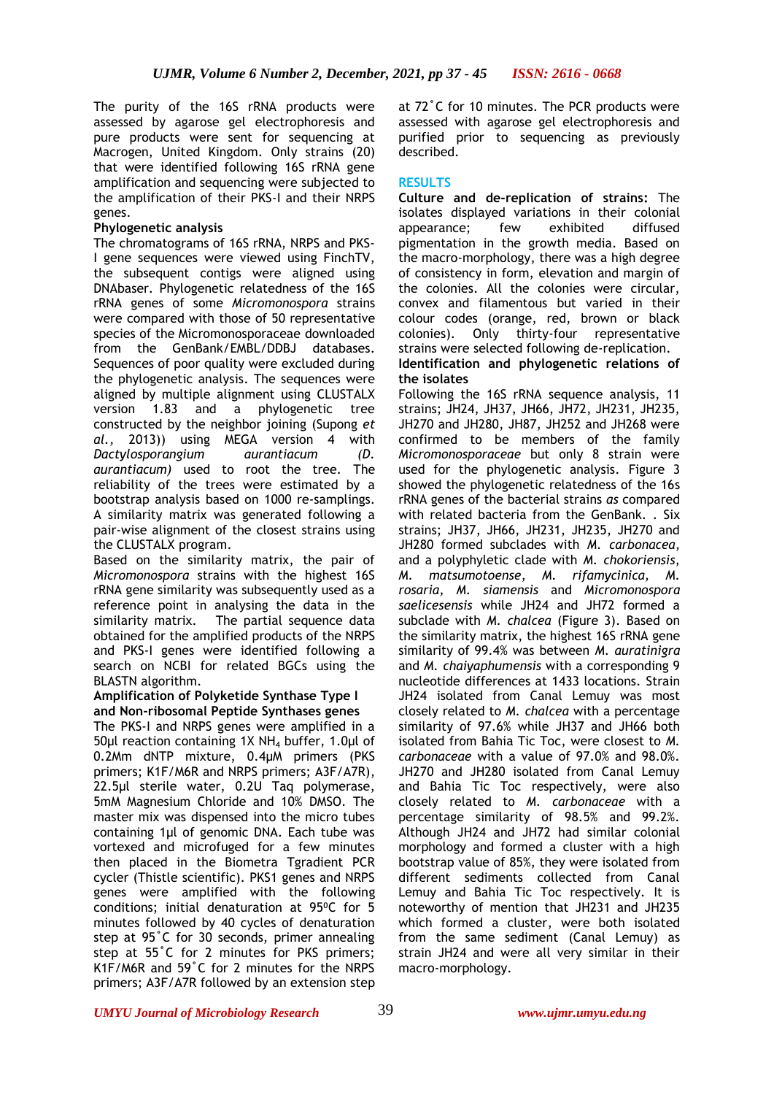The purity of the 16S rRNA products were assessed by agarose gel electrophoresis and pure products were sent for sequencing at Macrogen, United Kingdom. Only strains (20) that were identified following 16S rRNA gene amplification and sequencing were subjected to the amplification of their PKS-I and their NRPS genes.

## **Phylogenetic analysis**

The chromatograms of 16S rRNA, NRPS and PKS-I gene sequences were viewed using FinchTV, the subsequent contigs were aligned using DNAbaser. Phylogenetic relatedness of the 16S rRNA genes of some *Micromonospora* strains were compared with those of 50 representative species of the Micromonosporaceae downloaded from the GenBank/EMBL/DDBJ databases. Sequences of poor quality were excluded during the phylogenetic analysis. The sequences were aligned by multiple alignment using CLUSTALX version 1.83 and a phylogenetic tree constructed by the neighbor joining (Supong *et al.,* 2013)) using MEGA version 4 with *[Dactylosporangium](http://www.bacterio.cict.fr/d/dactylosporangium.html) aurantiacum (D. aurantiacum)* used to root the tree. The reliability of the trees were estimated by a bootstrap analysis based on 1000 re-samplings. A similarity matrix was generated following a pair-wise alignment of the closest strains using the CLUSTALX program.

Based on the similarity matrix, the pair of *Micromonospora* strains with the highest 16S rRNA gene similarity was subsequently used as a reference point in analysing the data in the similarity matrix. The partial sequence data obtained for the amplified products of the NRPS and PKS-I genes were identified following a search on NCBI for related BGCs using the BLASTN algorithm.

#### **Amplification of Polyketide Synthase Type I and Non-ribosomal Peptide Synthases genes**

The PKS-I and NRPS genes were amplified in a 50µl reaction containing 1X NH<sup>4</sup> buffer, 1.0µl of 0.2Mm dNTP mixture, 0.4µM primers (PKS primers; K1F/M6R and NRPS primers; A3F/A7R), 22.5µl sterile water, 0.2U Taq polymerase, 5mM Magnesium Chloride and 10% DMSO. The master mix was dispensed into the micro tubes containing 1µl of genomic DNA. Each tube was vortexed and microfuged for a few minutes then placed in the Biometra Tgradient PCR cycler (Thistle scientific). PKS1 genes and NRPS genes were amplified with the following conditions; initial denaturation at 95°C for 5 minutes followed by 40 cycles of denaturation step at 95˚C for 30 seconds, primer annealing step at 55˚C for 2 minutes for PKS primers; K1F/M6R and 59˚C for 2 minutes for the NRPS primers; A3F/A7R followed by an extension step

at 72˚C for 10 minutes. The PCR products were assessed with agarose gel electrophoresis and purified prior to sequencing as previously described.

# **RESULTS**

**Culture and de-replication of strains:** The isolates displayed variations in their colonial<br>appearance: few exhibited diffused appearance; few exhibited pigmentation in the growth media. Based on the macro-morphology, there was a high degree of consistency in form, elevation and margin of the colonies. All the colonies were circular, convex and filamentous but varied in their colour codes (orange, red, brown or black colonies). Only thirty-four representative strains were selected following de-replication. **Identification and phylogenetic relations of the isolates** 

Following the 16S rRNA sequence analysis, 11 strains; JH24, JH37, JH66, JH72, JH231, JH235, JH270 and JH280, JH87, JH252 and JH268 were confirmed to be members of the family *Micromonosporaceae* but only 8 strain were used for the phylogenetic analysis*.* Figure 3 showed the phylogenetic relatedness of the 16s rRNA genes of the bacterial strains *as* compared with related bacteria from the GenBank. . Six strains; JH37, JH66, JH231, JH235, JH270 and JH280 formed subclades with *M. carbonacea*, and a polyphyletic clade with *M. chokoriensis*, *M. matsumotoense*, *M. rifamycinica, M. rosaria, M. siamensis* and *Micromonospora saelicesensis* while JH24 and JH72 formed a subclade with *M. chalcea* (Figure 3). Based on the similarity matrix, the highest 16S rRNA gene similarity of 99.4% was between *M. auratinigra*  and *M. chaiyaphumensis* with a corresponding 9 nucleotide differences at 1433 locations. Strain JH24 isolated from Canal Lemuy was most closely related to *M. chalcea* with a percentage similarity of 97.6% while JH37 and JH66 both isolated from Bahia Tic Toc, were closest to *M. carbonaceae* with a value of 97.0% and 98.0%. JH270 and JH280 isolated from Canal Lemuy and Bahia Tic Toc respectively, were also closely related to *M. carbonaceae* with a percentage similarity of 98.5% and 99.2%. Although JH24 and JH72 had similar colonial morphology and formed a cluster with a high bootstrap value of 85%, they were isolated from different sediments collected from Canal Lemuy and Bahia Tic Toc respectively. It is noteworthy of mention that JH231 and JH235 which formed a cluster, were both isolated from the same sediment (Canal Lemuy) as strain JH24 and were all very similar in their macro-morphology.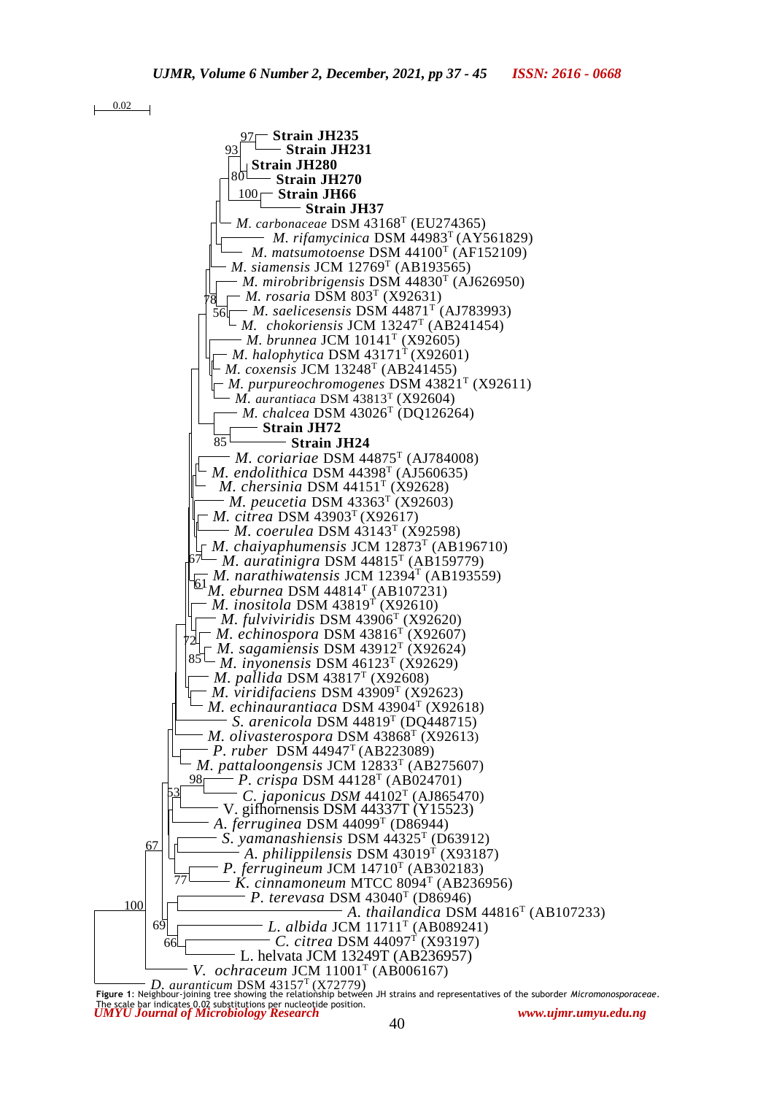0.02



*UMYU Journal of Microbiology Research www.ujmr.umyu.edu.ng* **Figure 1**: Neighbour-joining tree showing the relationship between JH strains and representatives of the suborder *Micromonosporaceae*. The scale bar indicates 0.02 substitutions per nucleotide position.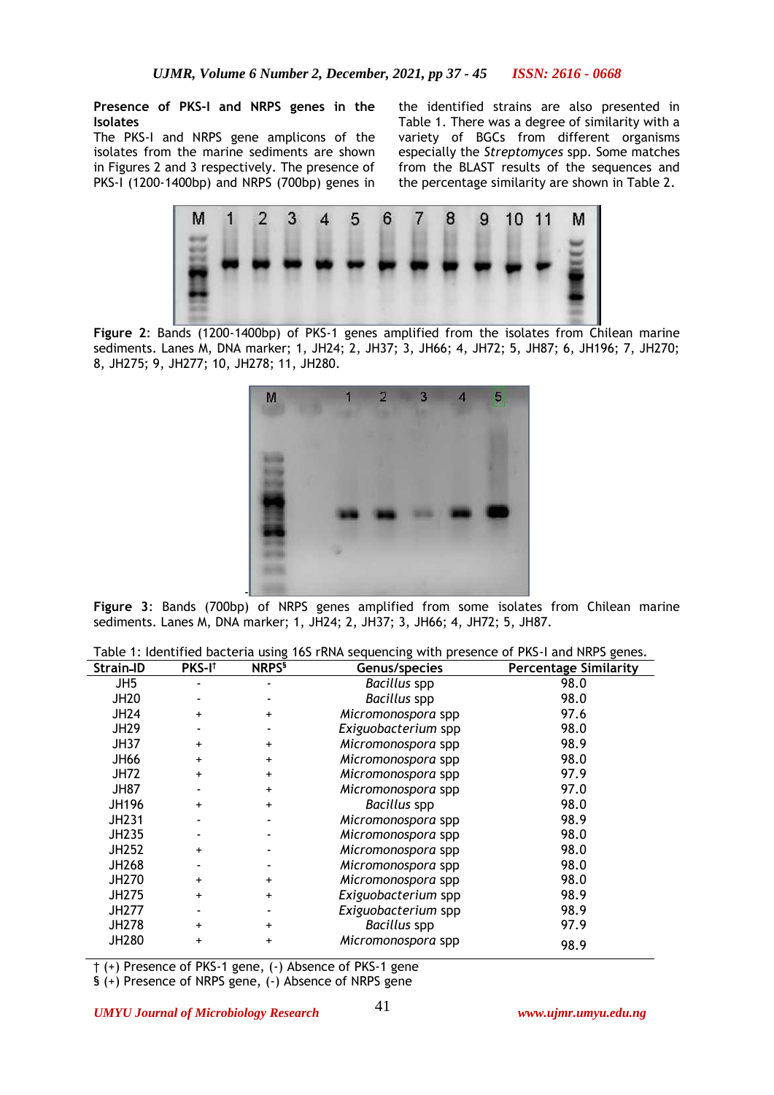### **Presence of PKS-I and NRPS genes in the Isolates**

The PKS-I and NRPS gene amplicons of the isolates from the marine sediments are shown in Figures 2 and 3 respectively. The presence of PKS-I (1200-1400bp) and NRPS (700bp) genes in

the identified strains are also presented in Table 1. There was a degree of similarity with a variety of BGCs from different organisms especially the *Streptomyces* spp. Some matches from the BLAST results of the sequences and the percentage similarity are shown in Table 2.



**Figure 2**: Bands (1200-1400bp) of PKS-1 genes amplified from the isolates from Chilean marine sediments. Lanes M, DNA marker; 1, JH24; 2, JH37; 3, JH66; 4, JH72; 5, JH87; 6, JH196; 7, JH270; 8, JH275; 9, JH277; 10, JH278; 11, JH280.



**Figure 3**: Bands (700bp) of NRPS genes amplified from some isolates from Chilean marine sediments. Lanes M, DNA marker; 1, JH24; 2, JH37; 3, JH66; 4, JH72; 5, JH87.

| Table 1: Identified bacteria using 16S rRNA sequencing with presence of PKS-I and NRPS genes. |  |  |
|-----------------------------------------------------------------------------------------------|--|--|
|                                                                                               |  |  |

| Strain-ID       | PKS-I <sup>t</sup> | NRPS <sup>§</sup> | Genus/species       | <b>Percentage Similarity</b> |
|-----------------|--------------------|-------------------|---------------------|------------------------------|
| JH <sub>5</sub> |                    |                   | <b>Bacillus</b> spp | 98.0                         |
| <b>JH20</b>     |                    |                   | <b>Bacillus</b> spp | 98.0                         |
| <b>JH24</b>     | $\ddot{}$          | $\ddot{}$         | Micromonospora spp  | 97.6                         |
| <b>JH29</b>     |                    |                   | Exiguobacterium spp | 98.0                         |
| <b>JH37</b>     | $\ddot{}$          | $\ddot{}$         | Micromonospora spp  | 98.9                         |
| <b>JH66</b>     | $\ddot{}$          | $\ddot{}$         | Micromonospora spp  | 98.0                         |
| <b>JH72</b>     | $+$                | $\ddot{}$         | Micromonospora spp  | 97.9                         |
| <b>JH87</b>     |                    | $\ddot{}$         | Micromonospora spp  | 97.0                         |
| JH196           | $\ddot{}$          | $\ddot{}$         | <b>Bacillus</b> spp | 98.0                         |
| JH231           |                    |                   | Micromonospora spp  | 98.9                         |
| JH235           |                    |                   | Micromonospora spp  | 98.0                         |
| JH252           | $\ddot{}$          |                   | Micromonospora spp  | 98.0                         |
| JH268           |                    |                   | Micromonospora spp  | 98.0                         |
| JH270           | $\ddot{}$          | $\ddot{}$         | Micromonospora spp  | 98.0                         |
| <b>JH275</b>    | $\ddot{}$          | $\ddot{}$         | Exiguobacterium spp | 98.9                         |
| <b>JH277</b>    |                    |                   | Exiguobacterium spp | 98.9                         |
| JH278           | $\ddot{}$          | $\ddot{}$         | <b>Bacillus</b> spp | 97.9                         |
| JH280           | $\ddot{}$          | $\ddot{}$         | Micromonospora spp  | 98.9                         |

† (+) Presence of PKS-1 gene, (-) Absence of PKS-1 gene

§ (+) Presence of NRPS gene, (-) Absence of NRPS gene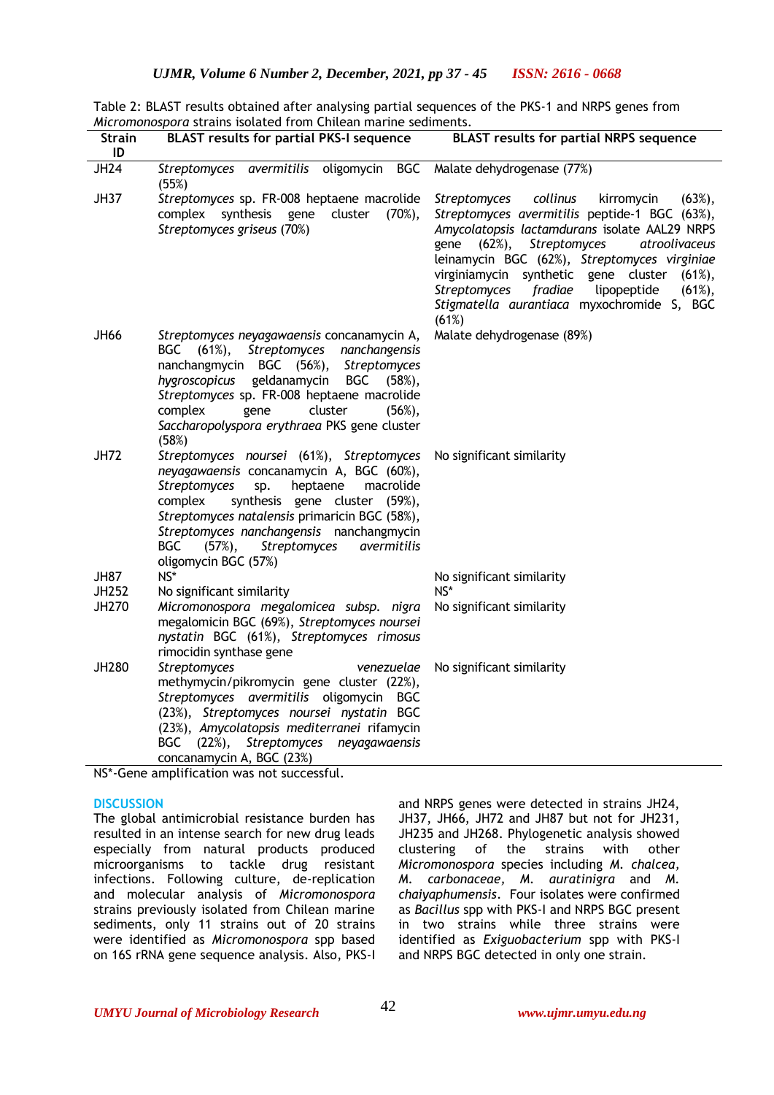|                                                                       | Table 2: BLAST results obtained after analysing partial sequences of the PKS-1 and NRPS genes from |
|-----------------------------------------------------------------------|----------------------------------------------------------------------------------------------------|
| <i>Micromonospora</i> strains isolated from Chilean marine sediments. |                                                                                                    |

| <b>Strain</b><br>ID  | <b>BLAST results for partial PKS-I sequence</b>                                                                                                                                                                                                                                                                                                                                                         | <b>BLAST results for partial NRPS sequence</b>                                                                                                                                                                                                                                                                                                                                                                              |
|----------------------|---------------------------------------------------------------------------------------------------------------------------------------------------------------------------------------------------------------------------------------------------------------------------------------------------------------------------------------------------------------------------------------------------------|-----------------------------------------------------------------------------------------------------------------------------------------------------------------------------------------------------------------------------------------------------------------------------------------------------------------------------------------------------------------------------------------------------------------------------|
| <b>JH24</b>          | Streptomyces avermitilis oligomycin BGC<br>(55%)                                                                                                                                                                                                                                                                                                                                                        | Malate dehydrogenase (77%)                                                                                                                                                                                                                                                                                                                                                                                                  |
| <b>JH37</b>          | Streptomyces sp. FR-008 heptaene macrolide<br>synthesis<br>complex<br>gene<br>cluster<br>$(70\%),$<br>Streptomyces griseus (70%)                                                                                                                                                                                                                                                                        | Streptomyces<br>collinus<br>kirromycin<br>$(63\%),$<br>Streptomyces avermitilis peptide-1 BGC (63%),<br>Amycolatopsis lactamdurans isolate AAL29 NRPS<br>Streptomyces<br>$(62%)$ ,<br>gene<br>atroolivaceus<br>leinamycin BGC (62%), Streptomyces virginiae<br>virginiamycin synthetic gene cluster<br>$(61\%),$<br>Streptomyces fradiae<br>lipopeptide<br>$(61\%),$<br>Stigmatella aurantiaca myxochromide S, BGC<br>(61%) |
| JH66                 | Streptomyces neyagawaensis concanamycin A,<br>BGC (61%),<br>Streptomyces nanchangensis<br>nanchangmycin BGC (56%), Streptomyces<br>geldanamycin<br>hygroscopicus<br>BGC<br>(58%)<br>Streptomyces sp. FR-008 heptaene macrolide<br>complex<br>gene<br>cluster<br>$(56\%),$<br>Saccharopolyspora erythraea PKS gene cluster<br>(58%)                                                                      | Malate dehydrogenase (89%)                                                                                                                                                                                                                                                                                                                                                                                                  |
| <b>JH72</b>          | Streptomyces noursei (61%), Streptomyces No significant similarity<br>neyagawaensis concanamycin A, BGC (60%),<br><b>Streptomyces</b><br>sp.<br>heptaene<br>macrolide<br>synthesis gene cluster (59%),<br>complex<br>Streptomyces natalensis primaricin BGC (58%),<br>Streptomyces nanchangensis nanchangmycin<br><b>BGC</b><br>$(57%)$ ,<br><b>Streptomyces</b><br>avermitilis<br>oligomycin BGC (57%) |                                                                                                                                                                                                                                                                                                                                                                                                                             |
| <b>JH87</b><br>JH252 | NS*<br>No significant similarity                                                                                                                                                                                                                                                                                                                                                                        | No significant similarity<br>$NS*$                                                                                                                                                                                                                                                                                                                                                                                          |
| JH270                | Micromonospora megalomicea subsp. nigra<br>megalomicin BGC (69%), Streptomyces noursei<br>nystatin BGC (61%), Streptomyces rimosus<br>rimocidin synthase gene                                                                                                                                                                                                                                           | No significant similarity                                                                                                                                                                                                                                                                                                                                                                                                   |
| JH280                | Streptomyces<br>venezuelae<br>methymycin/pikromycin gene cluster (22%),<br>Streptomyces avermitilis oligomycin BGC<br>(23%), Streptomyces noursei nystatin BGC<br>(23%), Amycolatopsis mediterranei rifamycin<br>$(22%)$ ,<br><b>BGC</b><br>Streptomyces neyagawaensis<br>concanamycin A, BGC (23%)<br>$NC^*$ -Cana amplification was not successful                                                    | No significant similarity                                                                                                                                                                                                                                                                                                                                                                                                   |

NS\*-Gene amplification was not successful.

#### **DISCUSSION**

The global antimicrobial resistance burden has resulted in an intense search for new drug leads especially from natural products produced microorganisms to tackle drug resistant infections. Following culture, de-replication and molecular analysis of *Micromonospora* strains previously isolated from Chilean marine sediments, only 11 strains out of 20 strains were identified as *Micromonospora* spp based on 16S rRNA gene sequence analysis. Also, PKS-I and NRPS genes were detected in strains JH24, JH37, JH66, JH72 and JH87 but not for JH231, JH235 and JH268. Phylogenetic analysis showed clustering of the strains with other *Micromonospora* species including *M. chalcea, M. carbonaceae, M. auratinigra* and *M. chaiyaphumensis*. Four isolates were confirmed as *Bacillus* spp with PKS-I and NRPS BGC present in two strains while three strains were identified as *Exiguobacterium* spp with PKS-I and NRPS BGC detected in only one strain.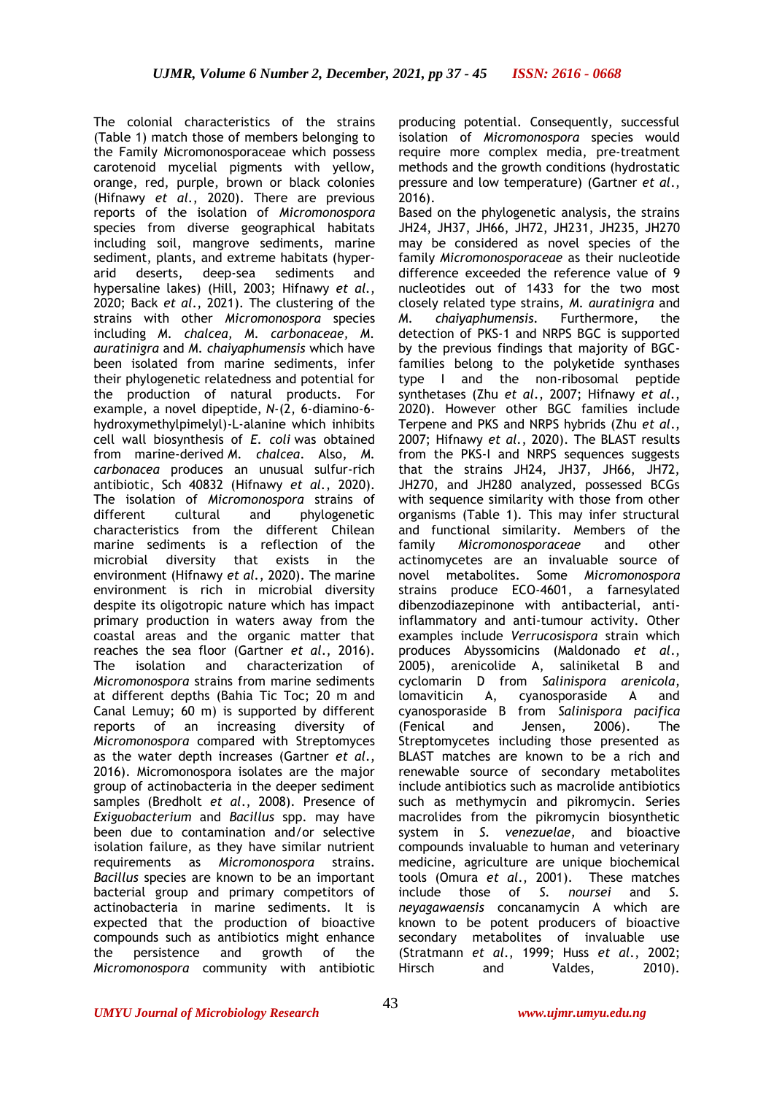The colonial characteristics of the strains (Table 1) match those of members belonging to the Family Micromonosporaceae which possess carotenoid mycelial pigments with yellow, orange, red, purple, brown or black colonies (Hifnawy *et al.*, 2020). There are previous reports of the isolation of *Micromonospora* species from diverse geographical habitats including soil, mangrove sediments, marine sediment, plants, and extreme habitats (hyperarid deserts, deep-sea sediments and hypersaline lakes) (Hill, 2003; Hifnawy *et al.*, 2020; Back *et al*., 2021). The clustering of the strains with other *Micromonospora* species including *M. chalcea, M. carbonaceae, M. auratinigra* and *M. chaiyaphumensis* which have been isolated from marine sediments, infer their phylogenetic relatedness and potential for the production of natural products. For example, a novel dipeptide, *N*-(2, 6-diamino-6 hydroxymethylpimelyl)-L-alanine which inhibits cell wall biosynthesis of *E. coli* was obtained from marine-derived *M. chalcea*. Also, *M. carbonacea* produces an unusual sulfur-rich antibiotic, Sch 40832 (Hifnawy *et al.*, 2020). The isolation of *Micromonospora* strains of different cultural and phylogenetic characteristics from the different Chilean marine sediments is a reflection of the microbial diversity that exists in the environment (Hifnawy *et al.*, 2020). The marine environment is rich in microbial diversity despite its oligotropic nature which has impact primary production in waters away from the coastal areas and the organic matter that reaches the sea floor (Gartner *et al*., 2016). The isolation and characterization of *Micromonospora* strains from marine sediments at different depths (Bahia Tic Toc; 20 m and Canal Lemuy; 60 m) is supported by different reports of an increasing diversity of *Micromonospora* compared with Streptomyces as the water depth increases (Gartner *et al*., 2016). Micromonospora isolates are the major group of actinobacteria in the deeper sediment samples (Bredholt *et al*., 2008). Presence of *Exiguobacterium* and *Bacillus* spp. may have been due to contamination and/or selective isolation failure, as they have similar nutrient requirements as *Micromonospora* strains. *Bacillus* species are known to be an important bacterial group and primary competitors of actinobacteria in marine sediments. It is expected that the production of bioactive compounds such as antibiotics might enhance the persistence and growth of the *Micromonospora* community with antibiotic

producing potential. Consequently, successful isolation of *Micromonospora* species would require more complex media, pre-treatment methods and the growth conditions (hydrostatic pressure and low temperature) (Gartner *et al*., 2016).

Based on the phylogenetic analysis, the strains JH24, JH37, JH66, JH72, JH231, JH235, JH270 may be considered as novel species of the family *Micromonosporaceae* as their nucleotide difference exceeded the reference value of 9 nucleotides out of 1433 for the two most closely related type strains, *M. auratinigra* and *M. chaiyaphumensis.* Furthermore, the detection of PKS-1 and NRPS BGC is supported by the previous findings that majority of BGCfamilies belong to the polyketide synthases type I and the non-ribosomal peptide synthetases (Zhu *et al*., 2007; Hifnawy *et al.*, 2020). However other BGC families include Terpene and PKS and NRPS hybrids (Zhu *et al*., 2007; Hifnawy *et al.*, 2020). The BLAST results from the PKS-I and NRPS sequences suggests that the strains JH24, JH37, JH66, JH72, JH270, and JH280 analyzed, possessed BCGs with sequence similarity with those from other organisms (Table 1). This may infer structural and functional similarity. Members of the family *Micromonosporaceae* and other actinomycetes are an invaluable source of novel metabolites. Some *Micromonospora*  strains produce ECO-4601, a farnesylated dibenzodiazepinone with antibacterial, antiinflammatory and anti-tumour activity. Other examples include *Verrucosispora* strain which produces Abyssomicins (Maldonado *et al*., 2005), arenicolide A, saliniketal B and cyclomarin D from *Salinispora arenicola*, lomaviticin A, cyanosporaside A and cyanosporaside B from *Salinispora pacifica*  (Fenical and Jensen, 2006). The Streptomycetes including those presented as BLAST matches are known to be a rich and renewable source of secondary metabolites include antibiotics such as macrolide antibiotics such as methymycin and pikromycin. Series macrolides from the pikromycin biosynthetic system in *S. venezuelae,* and bioactive compounds invaluable to human and veterinary medicine, agriculture are unique biochemical tools (Omura *et al*., 2001). These matches include those of *S. noursei* and *S. neyagawaensis* concanamycin A which are known to be potent producers of bioactive secondary metabolites of invaluable use (Stratmann *et al*., 1999; Huss *et al*., 2002; Hirsch and Valdes, 2010).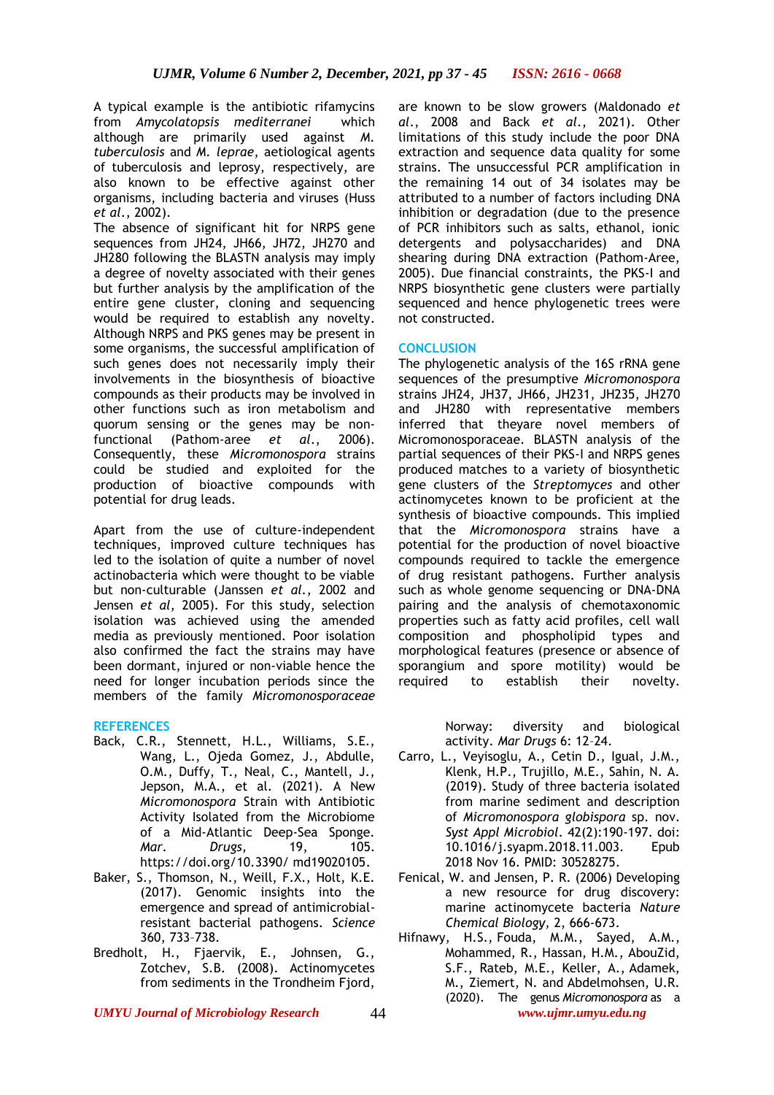A typical example is the antibiotic rifamycins from *Amycolatopsis mediterranei* which although are primarily used against *M. tuberculosis* and *M. leprae*, aetiological agents of tuberculosis and leprosy, respectively, are also known to be effective against other organisms, including bacteria and viruses (Huss *et al*., 2002).

The absence of significant hit for NRPS gene sequences from JH24, JH66, JH72, JH270 and JH280 following the BLASTN analysis may imply a degree of novelty associated with their genes but further analysis by the amplification of the entire gene cluster, cloning and sequencing would be required to establish any novelty. Although NRPS and PKS genes may be present in some organisms, the successful amplification of such genes does not necessarily imply their involvements in the biosynthesis of bioactive compounds as their products may be involved in other functions such as iron metabolism and quorum sensing or the genes may be nonfunctional (Pathom-aree *et al*., 2006). Consequently, these *Micromonospora* strains could be studied and exploited for the production of bioactive compounds with potential for drug leads.

Apart from the use of culture-independent techniques, improved culture techniques has led to the isolation of quite a number of novel actinobacteria which were thought to be viable but non-culturable (Janssen *et al.*, 2002 and Jensen *et al*, 2005). For this study, selection isolation was achieved using the amended media as previously mentioned. Poor isolation also confirmed the fact the strains may have been dormant, injured or non-viable hence the need for longer incubation periods since the members of the family *Micromonosporaceae* 

### **REFERENCES**

- Back, C.R., Stennett, H.L., Williams, S.E., Wang, L., Ojeda Gomez, J., Abdulle, O.M., Duffy, T., Neal, C., Mantell, J., Jepson, M.A., et al. (2021). A New *Micromonospora* Strain with Antibiotic Activity Isolated from the Microbiome of a Mid-Atlantic Deep-Sea Sponge*. Mar. Drugs,* 19, 105. https://doi.org/10.3390/ md19020105.
- Baker, S., Thomson, N., Weill, F.X., Holt, K.E. (2017). Genomic insights into the emergence and spread of antimicrobialresistant bacterial pathogens. *Science*  360, 733–738.
- Bredholt, H., Fjaervik, E., Johnsen, G., Zotchev, S.B. (2008). Actinomycetes from sediments in the Trondheim Fjord,

are known to be slow growers (Maldonado *et al*., 2008 and Back *et al*., 2021). Other limitations of this study include the poor DNA extraction and sequence data quality for some strains. The unsuccessful PCR amplification in the remaining 14 out of 34 isolates may be attributed to a number of factors including DNA inhibition or degradation (due to the presence of PCR inhibitors such as salts, ethanol, ionic detergents and polysaccharides) and DNA shearing during DNA extraction (Pathom-Aree, 2005). Due financial constraints, the PKS-I and NRPS biosynthetic gene clusters were partially sequenced and hence phylogenetic trees were not constructed.

#### **CONCLUSION**

The phylogenetic analysis of the 16S rRNA gene sequences of the presumptive *Micromonospora* strains JH24, JH37, JH66, JH231, JH235, JH270 and JH280 with representative members inferred that theyare novel members of Micromonosporaceae. BLASTN analysis of the partial sequences of their PKS-I and NRPS genes produced matches to a variety of biosynthetic gene clusters of the *Streptomyces* and other actinomycetes known to be proficient at the synthesis of bioactive compounds. This implied that the *Micromonospora* strains have a potential for the production of novel bioactive compounds required to tackle the emergence of drug resistant pathogens. Further analysis such as whole genome sequencing or DNA-DNA pairing and the analysis of chemotaxonomic properties such as fatty acid profiles, cell wall composition and phospholipid types and morphological features (presence or absence of sporangium and spore motility) would be required to establish their novelty.

> Norway: diversity and biological activity. *Mar Drugs* 6: 12–24.

- Carro, L., Veyisoglu, A., Cetin D., Igual, J.M., Klenk, H.P., Trujillo, M.E., Sahin, N. A. (2019). Study of three bacteria isolated from marine sediment and description of *Micromonospora globispora* sp. nov. *Syst Appl Microbiol*. 42(2):190-197. doi: 10.1016/j.syapm.2018.11.003. Epub 2018 Nov 16. PMID: 30528275.
- Fenical, W. and Jensen, P. R. (2006) Developing a new resource for drug discovery: marine actinomycete bacteria *Nature Chemical Biology,* 2, 666-673.
- *UMYU Journal of Microbiology Research www.ujmr.umyu.edu.ng* Hifnawy, H.S., Fouda, M.M., Sayed, A.M., Mohammed, R., Hassan, H.M., AbouZid, S.F., Rateb, M.E., Keller, A., Adamek, M., Ziemert, N. and Abdelmohsen, U.R. (2020). The genus *Micromonospora* as a